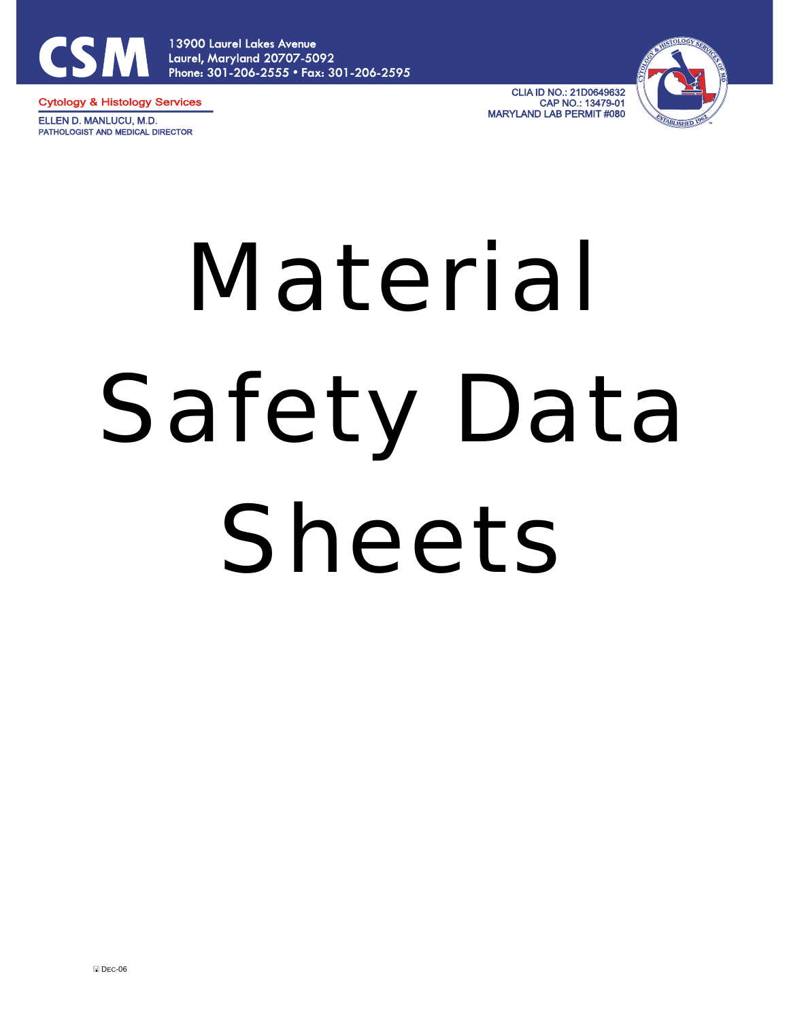

13900 Laurel Lakes Avenue Laurel, Maryland 20707-5092 Phone: 301-206-2555 • Fax: 301-206-2595

**Cytology & Histology Services** ELLEN D. MANLUCU, M.D. PATHOLOGIST AND MEDICAL DIRECTOR

**CLIA ID NO.: 21D0649632** CAP NO.: 13479-01 **MARYLAND LAB PERMIT #080** 



# Material Safety Data Sheets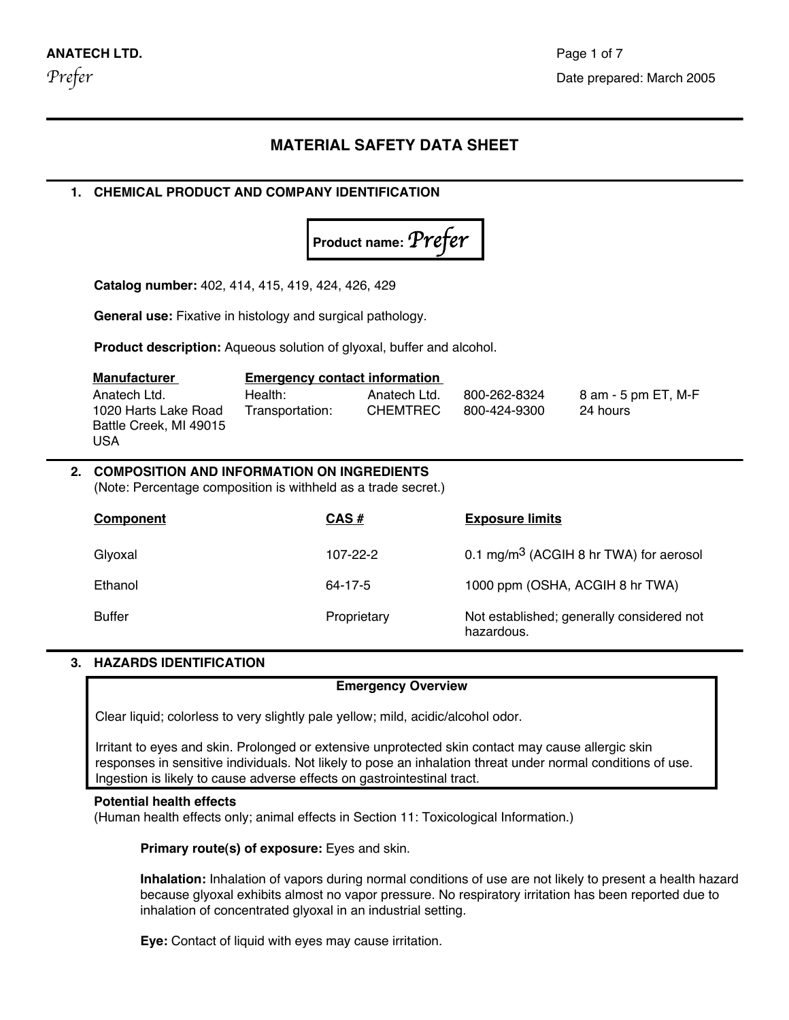#### **MATERIAL SAFETY DATA SHEET**

#### **1. CHEMICAL PRODUCT AND COMPANY IDENTIFICATION**



**Catalog number:** 402, 414, 415, 419, 424, 426, 429

**General use:** Fixative in histology and surgical pathology.

**Product description:** Aqueous solution of glyoxal, buffer and alcohol.

| Manufacturer           | <b>Emergency contact information</b> |                 |              |                     |
|------------------------|--------------------------------------|-----------------|--------------|---------------------|
| Anatech Ltd.           | Health:                              | Anatech Ltd.    | 800-262-8324 | 8 am - 5 pm ET, M-F |
| 1020 Harts Lake Road   | Transportation:                      | <b>CHEMTREC</b> | 800-424-9300 | 24 hours            |
| Battle Creek, MI 49015 |                                      |                 |              |                     |
| USA                    |                                      |                 |              |                     |

#### **2. COMPOSITION AND INFORMATION ON INGREDIENTS**

(Note: Percentage composition is withheld as a trade secret.)

| Component     | $CAS \#$    | <b>Exposure limits</b>                                  |
|---------------|-------------|---------------------------------------------------------|
| Glyoxal       | 107-22-2    | 0.1 mg/m <sup>3</sup> (ACGIH 8 hr TWA) for aerosol      |
| Ethanol       | 64-17-5     | 1000 ppm (OSHA, ACGIH 8 hr TWA)                         |
| <b>Buffer</b> | Proprietary | Not established; generally considered not<br>hazardous. |

#### **3. HAZARDS IDENTIFICATION**

!

#### **Emergency Overview**

Clear liquid; colorless to very slightly pale yellow; mild, acidic/alcohol odor.

Irritant to eyes and skin. Prolonged or extensive unprotected skin contact may cause allergic skin responses in sensitive individuals. Not likely to pose an inhalation threat under normal conditions of use. Ingestion is likely to cause adverse effects on gastrointestinal tract.

#### **Potential health effects**

(Human health effects only; animal effects in Section 11: Toxicological Information.)

**Primary route(s) of exposure:** Eyes and skin.

**Inhalation:** Inhalation of vapors during normal conditions of use are not likely to present a health hazard because glyoxal exhibits almost no vapor pressure. No respiratory irritation has been reported due to inhalation of concentrated glyoxal in an industrial setting.

**Eye:** Contact of liquid with eyes may cause irritation.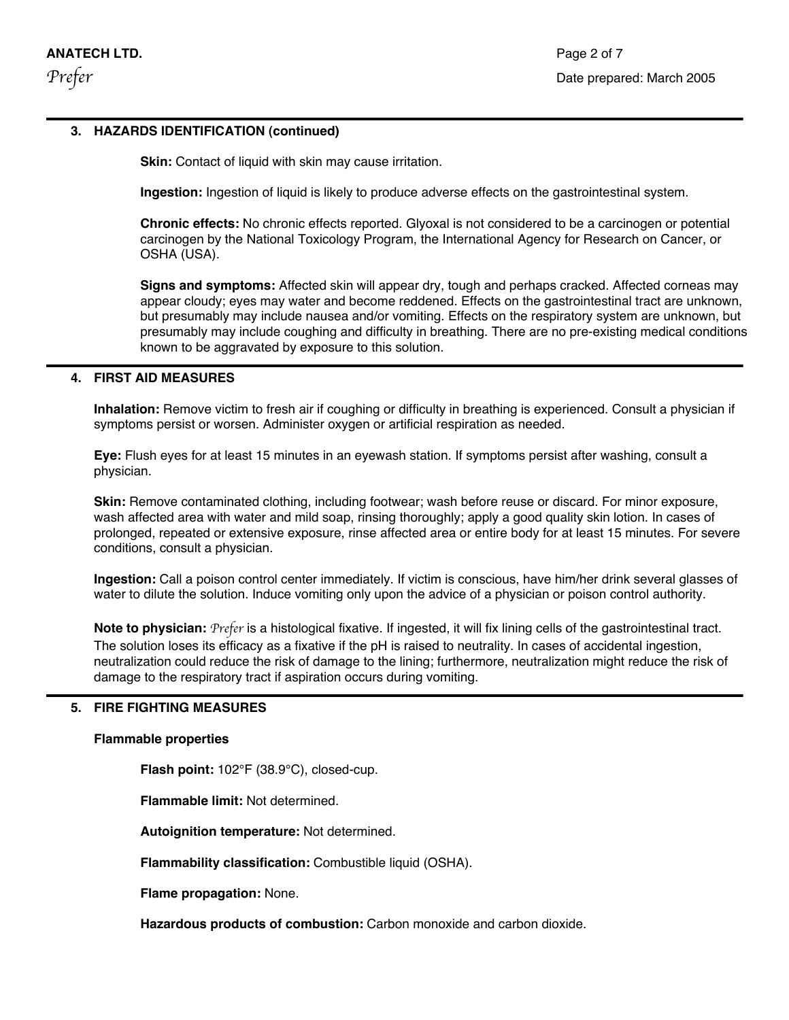#### **3. HAZARDS IDENTIFICATION (continued)**

**Skin:** Contact of liquid with skin may cause irritation.

**Ingestion:** Ingestion of liquid is likely to produce adverse effects on the gastrointestinal system.

**Chronic effects:** No chronic effects reported. Glyoxal is not considered to be a carcinogen or potential carcinogen by the National Toxicology Program, the International Agency for Research on Cancer, or OSHA (USA).

**Signs and symptoms:** Affected skin will appear dry, tough and perhaps cracked. Affected corneas may appear cloudy; eyes may water and become reddened. Effects on the gastrointestinal tract are unknown, but presumably may include nausea and/or vomiting. Effects on the respiratory system are unknown, but presumably may include coughing and difficulty in breathing. There are no pre-existing medical conditions known to be aggravated by exposure to this solution.

#### **4. FIRST AID MEASURES**

!

**Inhalation:** Remove victim to fresh air if coughing or difficulty in breathing is experienced. Consult a physician if symptoms persist or worsen. Administer oxygen or artificial respiration as needed.

**Eye:** Flush eyes for at least 15 minutes in an eyewash station. If symptoms persist after washing, consult a physician.

**Skin:** Remove contaminated clothing, including footwear; wash before reuse or discard. For minor exposure, wash affected area with water and mild soap, rinsing thoroughly; apply a good quality skin lotion. In cases of prolonged, repeated or extensive exposure, rinse affected area or entire body for at least 15 minutes. For severe conditions, consult a physician.

**Ingestion:** Call a poison control center immediately. If victim is conscious, have him/her drink several glasses of water to dilute the solution. Induce vomiting only upon the advice of a physician or poison control authority.

**Note to physician:** *Prefer* is a histological fixative. If ingested, it will fix lining cells of the gastrointestinal tract. The solution loses its efficacy as a fixative if the pH is raised to neutrality. In cases of accidental ingestion, neutralization could reduce the risk of damage to the lining; furthermore, neutralization might reduce the risk of damage to the respiratory tract if aspiration occurs during vomiting.

#### **5. FIRE FIGHTING MEASURES**

#### **Flammable properties**

**Flash point:** 102°F (38.9°C), closed-cup.

**Flammable limit:** Not determined.

**Autoignition temperature:** Not determined.

**Flammability classification:** Combustible liquid (OSHA).

**Flame propagation:** None.

**Hazardous products of combustion:** Carbon monoxide and carbon dioxide.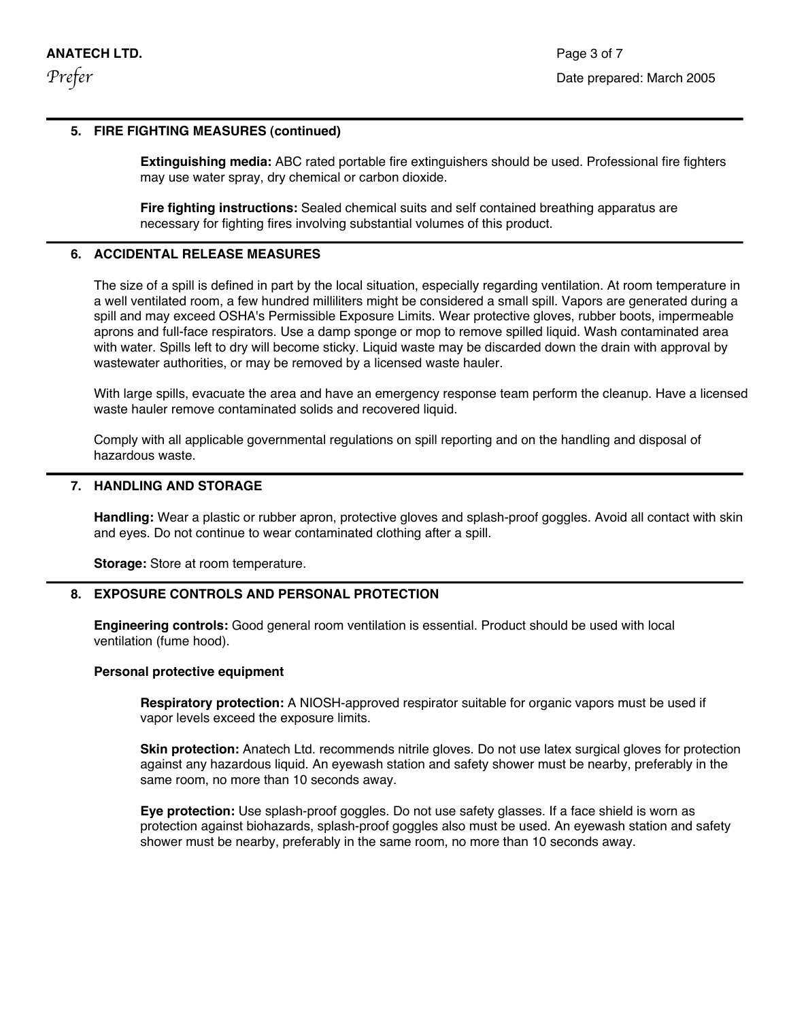#### **5. FIRE FIGHTING MEASURES (continued)**

**Extinguishing media:** ABC rated portable fire extinguishers should be used. Professional fire fighters may use water spray, dry chemical or carbon dioxide.

**Fire fighting instructions:** Sealed chemical suits and self contained breathing apparatus are necessary for fighting fires involving substantial volumes of this product.

#### **6. ACCIDENTAL RELEASE MEASURES**

The size of a spill is defined in part by the local situation, especially regarding ventilation. At room temperature in a well ventilated room, a few hundred milliliters might be considered a small spill. Vapors are generated during a spill and may exceed OSHA's Permissible Exposure Limits. Wear protective gloves, rubber boots, impermeable aprons and full-face respirators. Use a damp sponge or mop to remove spilled liquid. Wash contaminated area with water. Spills left to dry will become sticky. Liquid waste may be discarded down the drain with approval by wastewater authorities, or may be removed by a licensed waste hauler.

With large spills, evacuate the area and have an emergency response team perform the cleanup. Have a licensed waste hauler remove contaminated solids and recovered liquid.

! Comply with all applicable governmental regulations on spill reporting and on the handling and disposal of hazardous waste.

#### **7. HANDLING AND STORAGE**

**Handling:** Wear a plastic or rubber apron, protective gloves and splash-proof goggles. Avoid all contact with skin and eyes. Do not continue to wear contaminated clothing after a spill.

**Storage:** Store at room temperature.

#### **8. EXPOSURE CONTROLS AND PERSONAL PROTECTION**

**Engineering controls:** Good general room ventilation is essential. Product should be used with local ventilation (fume hood).

#### **Personal protective equipment**

**Respiratory protection:** A NIOSH-approved respirator suitable for organic vapors must be used if vapor levels exceed the exposure limits.

**Skin protection:** Anatech Ltd. recommends nitrile gloves. Do not use latex surgical gloves for protection against any hazardous liquid. An eyewash station and safety shower must be nearby, preferably in the same room, no more than 10 seconds away.

**Eye protection:** Use splash-proof goggles. Do not use safety glasses. If a face shield is worn as protection against biohazards, splash-proof goggles also must be used. An eyewash station and safety shower must be nearby, preferably in the same room, no more than 10 seconds away.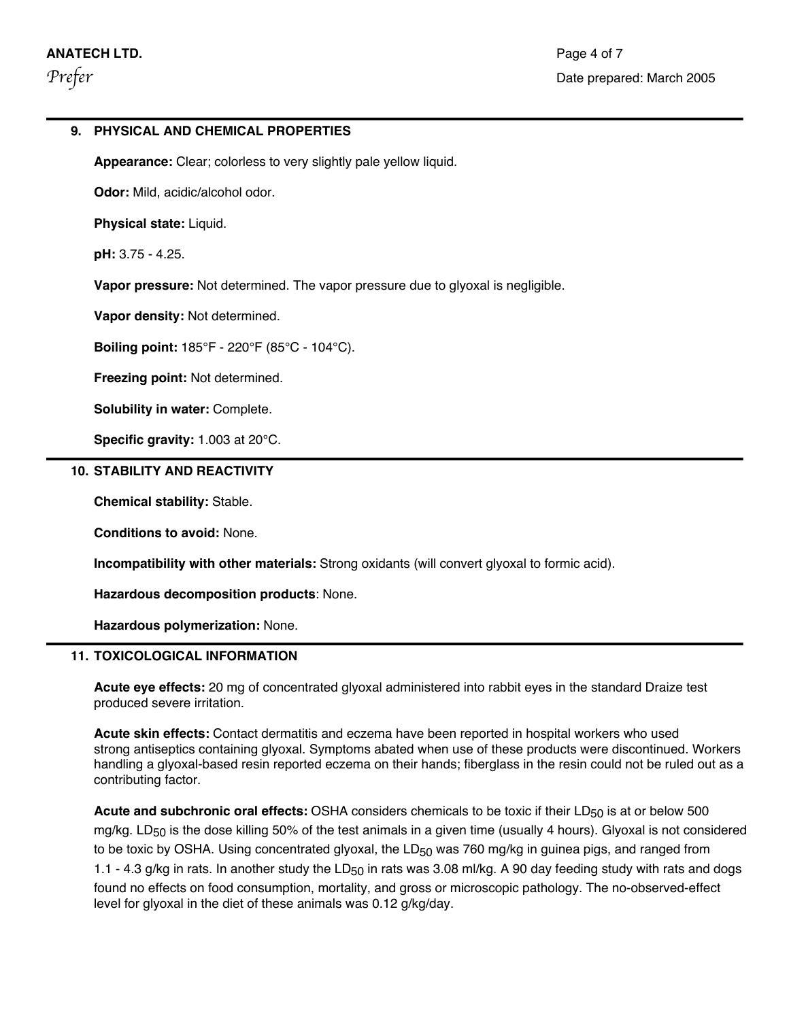#### **9. PHYSICAL AND CHEMICAL PROPERTIES**

**Appearance:** Clear; colorless to very slightly pale yellow liquid.

**Odor:** Mild, acidic/alcohol odor.

**Physical state:** Liquid.

**pH:** 3.75 - 4.25.

**Vapor pressure:** Not determined. The vapor pressure due to glyoxal is negligible.

**Vapor density:** Not determined.

**Boiling point:** 185°F - 220°F (85°C - 104°C).

**Freezing point:** Not determined.

**Solubility in water:** Complete.

**Specific gravity:** 1.003 at 20°C.

#### **10. STABILITY AND REACTIVITY**

**Chemical stability:** Stable.

!

**!**

**Conditions to avoid:** None.

**Incompatibility with other materials:** Strong oxidants (will convert glyoxal to formic acid).

**Hazardous decomposition products**: None.

**Hazardous polymerization:** None.

#### **11. TOXICOLOGICAL INFORMATION**

**Acute eye effects:** 20 mg of concentrated glyoxal administered into rabbit eyes in the standard Draize test produced severe irritation.

**Acute skin effects:** Contact dermatitis and eczema have been reported in hospital workers who used strong antiseptics containing glyoxal. Symptoms abated when use of these products were discontinued. Workers handling a glyoxal-based resin reported eczema on their hands; fiberglass in the resin could not be ruled out as a contributing factor.

Acute and subchronic oral effects: OSHA considers chemicals to be toxic if their LD<sub>50</sub> is at or below 500 mg/kg. LD<sub>50</sub> is the dose killing 50% of the test animals in a given time (usually 4 hours). Glyoxal is not considered to be toxic by OSHA. Using concentrated glyoxal, the  $LD_{50}$  was 760 mg/kg in guinea pigs, and ranged from 1.1 - 4.3 g/kg in rats. In another study the LD<sub>50</sub> in rats was 3.08 ml/kg. A 90 day feeding study with rats and dogs found no effects on food consumption, mortality, and gross or microscopic pathology. The no-observed-effect level for glyoxal in the diet of these animals was 0.12 g/kg/day.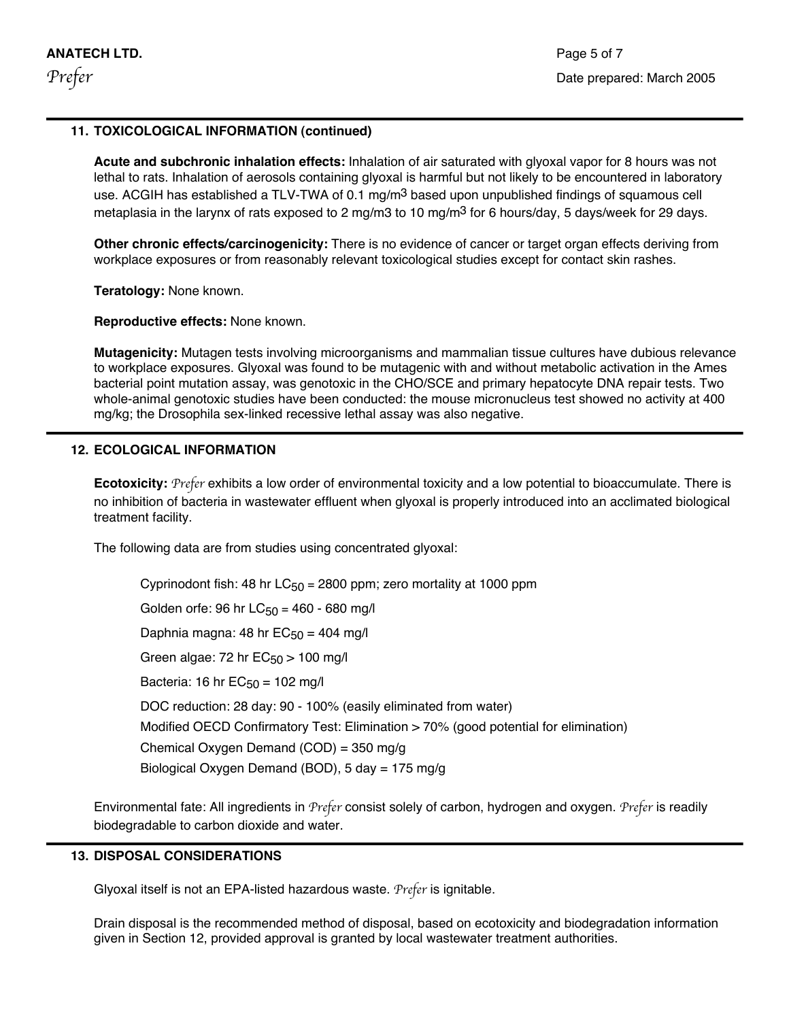!

!

!

!

#### **11. TOXICOLOGICAL INFORMATION (continued)**

**Acute and subchronic inhalation effects:** Inhalation of air saturated with glyoxal vapor for 8 hours was not lethal to rats. Inhalation of aerosols containing glyoxal is harmful but not likely to be encountered in laboratory use. ACGIH has established a TLV-TWA of 0.1 mg/m<sup>3</sup> based upon unpublished findings of squamous cell metaplasia in the larynx of rats exposed to 2 mg/m3 to 10 mg/m<sup>3</sup> for 6 hours/day, 5 days/week for 29 days.

**Other chronic effects/carcinogenicity:** There is no evidence of cancer or target organ effects deriving from workplace exposures or from reasonably relevant toxicological studies except for contact skin rashes.

**Teratology:** None known.

**Reproductive effects:** None known.

**Mutagenicity:** Mutagen tests involving microorganisms and mammalian tissue cultures have dubious relevance to workplace exposures. Glyoxal was found to be mutagenic with and without metabolic activation in the Ames bacterial point mutation assay, was genotoxic in the CHO/SCE and primary hepatocyte DNA repair tests. Two whole-animal genotoxic studies have been conducted: the mouse micronucleus test showed no activity at 400 mg/kg; the Drosophila sex-linked recessive lethal assay was also negative.

#### **12. ECOLOGICAL INFORMATION**

**Ecotoxicity:** *Prefer* exhibits a low order of environmental toxicity and a low potential to bioaccumulate. There is no inhibition of bacteria in wastewater effluent when glyoxal is properly introduced into an acclimated biological treatment facility.

The following data are from studies using concentrated glyoxal:

Cyprinodont fish: 48 hr  $LC_{50}$  = 2800 ppm; zero mortality at 1000 ppm Golden orfe: 96 hr  $LC_{50}$  = 460 - 680 mg/l Daphnia magna: 48 hr  $EC_{50} = 404$  mg/l Green algae: 72 hr  $EC_{50}$  > 100 mg/l Bacteria: 16 hr  $EC_{50} = 102$  mg/l DOC reduction: 28 day: 90 - 100% (easily eliminated from water) Modified OECD Confirmatory Test: Elimination > 70% (good potential for elimination) Chemical Oxygen Demand (COD) = 350 mg/g Biological Oxygen Demand (BOD), 5 day = 175 mg/g

Environmental fate: All ingredients in *Prefer* consist solely of carbon, hydrogen and oxygen. *Prefer* is readily biodegradable to carbon dioxide and water.

#### **13. DISPOSAL CONSIDERATIONS**

Glyoxal itself is not an EPA-listed hazardous waste. *Prefer* is ignitable.

Drain disposal is the recommended method of disposal, based on ecotoxicity and biodegradation information given in Section 12, provided approval is granted by local wastewater treatment authorities.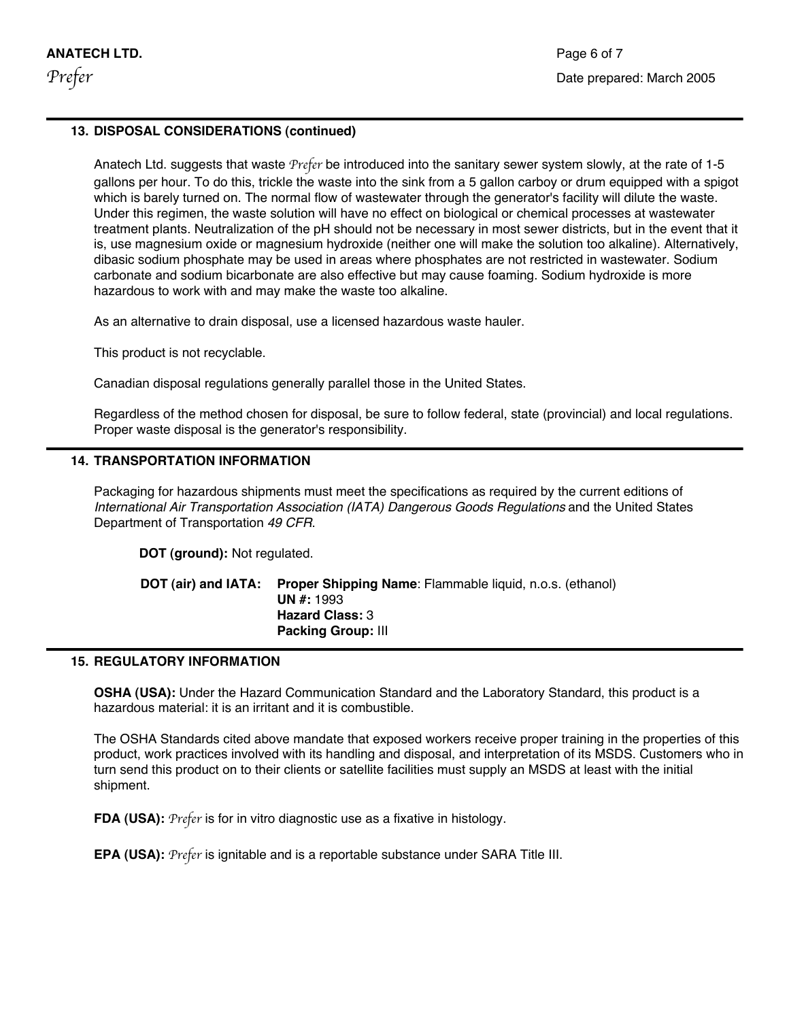!

!

!

#### **13. DISPOSAL CONSIDERATIONS (continued)**

Anatech Ltd. suggests that waste *Prefer* be introduced into the sanitary sewer system slowly, at the rate of 1-5 gallons per hour. To do this, trickle the waste into the sink from a 5 gallon carboy or drum equipped with a spigot which is barely turned on. The normal flow of wastewater through the generator's facility will dilute the waste. Under this regimen, the waste solution will have no effect on biological or chemical processes at wastewater treatment plants. Neutralization of the pH should not be necessary in most sewer districts, but in the event that it is, use magnesium oxide or magnesium hydroxide (neither one will make the solution too alkaline). Alternatively, dibasic sodium phosphate may be used in areas where phosphates are not restricted in wastewater. Sodium carbonate and sodium bicarbonate are also effective but may cause foaming. Sodium hydroxide is more hazardous to work with and may make the waste too alkaline.

As an alternative to drain disposal, use a licensed hazardous waste hauler.

This product is not recyclable.

Canadian disposal regulations generally parallel those in the United States.

Regardless of the method chosen for disposal, be sure to follow federal, state (provincial) and local regulations. Proper waste disposal is the generator's responsibility.

#### **14. TRANSPORTATION INFORMATION**

Packaging for hazardous shipments must meet the specifications as required by the current editions of International Air Transportation Association (IATA) Dangerous Goods Regulations and the United States Department of Transportation 49 CFR.

**DOT (ground):** Not regulated.

|  | <b>DOT (air) and IATA:</b> Proper Shipping Name: Flammable liquid, n.o.s. (ethanol) |
|--|-------------------------------------------------------------------------------------|
|  | <b>UN #: 1993</b>                                                                   |
|  | <b>Hazard Class: 3</b>                                                              |
|  | <b>Packing Group: III</b>                                                           |

#### **15. REGULATORY INFORMATION**

**OSHA (USA):** Under the Hazard Communication Standard and the Laboratory Standard, this product is a hazardous material: it is an irritant and it is combustible.

The OSHA Standards cited above mandate that exposed workers receive proper training in the properties of this product, work practices involved with its handling and disposal, and interpretation of its MSDS. Customers who in turn send this product on to their clients or satellite facilities must supply an MSDS at least with the initial shipment.

**FDA (USA):** *Prefer* is for in vitro diagnostic use as a fixative in histology.

**EPA (USA):** *Prefer* is ignitable and is a reportable substance under SARA Title III.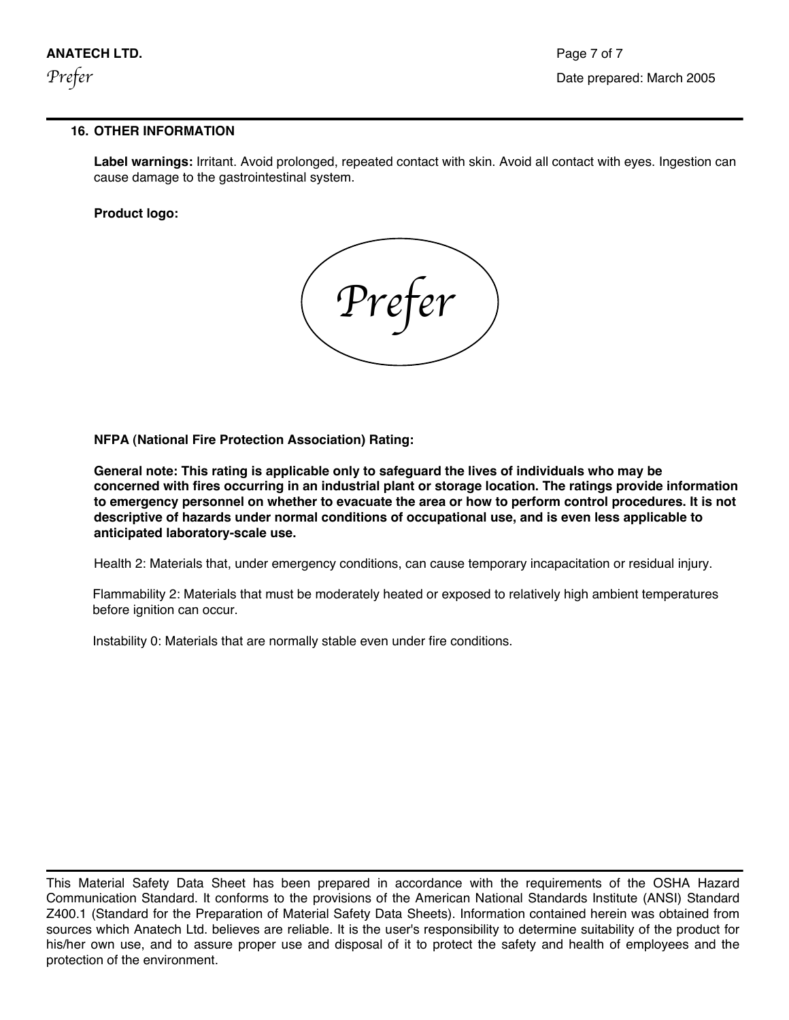!

#### **16. OTHER INFORMATION**

**Label warnings:** Irritant. Avoid prolonged, repeated contact with skin. Avoid all contact with eyes. Ingestion can cause damage to the gastrointestinal system.

#### **Product logo:**

*Prefer*

**NFPA (National Fire Protection Association) Rating:**

**General note: This rating is applicable only to safeguard the lives of individuals who may be concerned with fires occurring in an industrial plant or storage location. The ratings provide information to emergency personnel on whether to evacuate the area or how to perform control procedures. It is not descriptive of hazards under normal conditions of occupational use, and is even less applicable to anticipated laboratory-scale use.**

Health 2: Materials that, under emergency conditions, can cause temporary incapacitation or residual injury.

Flammability 2: Materials that must be moderately heated or exposed to relatively high ambient temperatures before ignition can occur.

Instability 0: Materials that are normally stable even under fire conditions.

This Material Safety Data Sheet has been prepared in accordance with the requirements of the OSHA Hazard Communication Standard. It conforms to the provisions of the American National Standards Institute (ANSI) Standard Z400.1 (Standard for the Preparation of Material Safety Data Sheets). Information contained herein was obtained from sources which Anatech Ltd. believes are reliable. It is the user's responsibility to determine suitability of the product for his/her own use, and to assure proper use and disposal of it to protect the safety and health of employees and the protection of the environment.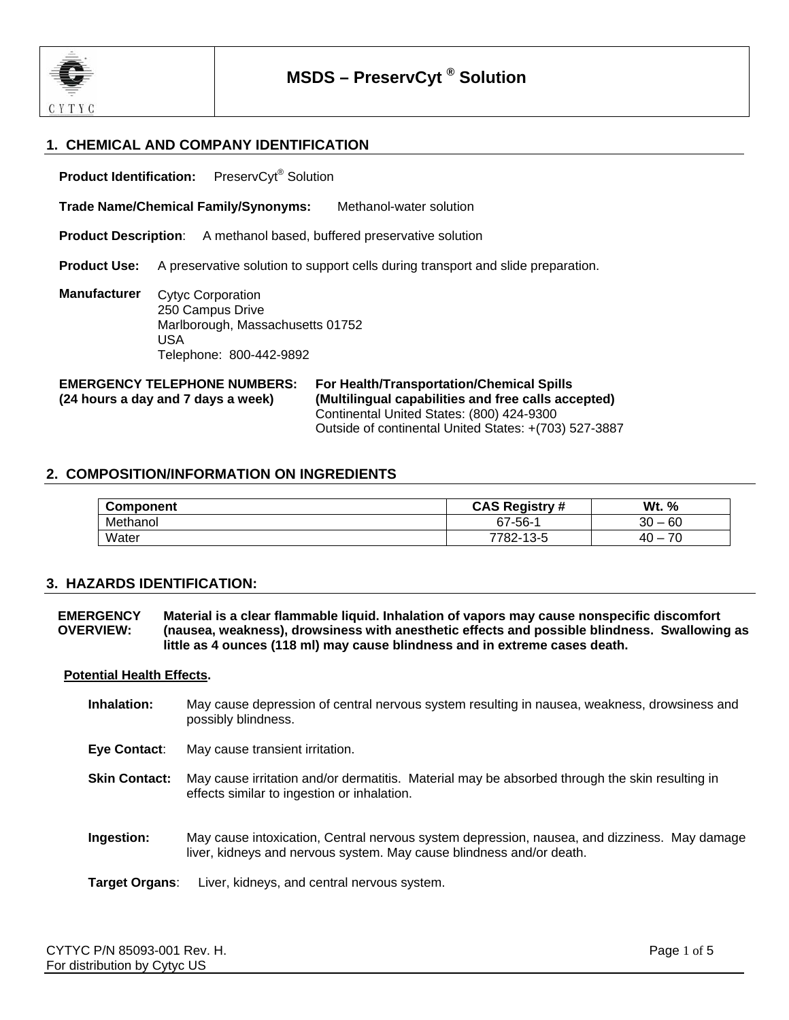

#### **1. CHEMICAL AND COMPANY IDENTIFICATION**

**Product Identification:** PreservCyt<sup>®</sup> Solution

**Trade Name/Chemical Family/Synonyms:** Methanol-water solution

**Product Description:** A methanol based, buffered preservative solution

**Product Use:** A preservative solution to support cells during transport and slide preparation.

**Manufacturer**  Cytyc Corporation 250 Campus Drive Marlborough, Massachusetts 01752 USA Telephone: 800-442-9892

#### **EMERGENCY TELEPHONE NUMBERS: (24 hours a day and 7 days a week)**

**For Health/Transportation/Chemical Spills (Multilingual capabilities and free calls accepted)** Continental United States: (800) 424-9300 Outside of continental United States: +(703) 527-3887

#### **2. COMPOSITION/INFORMATION ON INGREDIENTS**

| <b>Component</b> | <b>CAS Registry #</b> | Wt.<br>%      |
|------------------|-----------------------|---------------|
| Methanol         | 67-56-1               | 60<br>30<br>- |
| Water            | 7782-13-5             | ⇁<br>40<br>-  |

#### **3. HAZARDS IDENTIFICATION:**

**EMERGENCY OVERVIEW: Material is a clear flammable liquid. Inhalation of vapors may cause nonspecific discomfort (nausea, weakness), drowsiness with anesthetic effects and possible blindness. Swallowing as little as 4 ounces (118 ml) may cause blindness and in extreme cases death.**

#### **Potential Health Effects.**

**Inhalation:** May cause depression of central nervous system resulting in nausea, weakness, drowsiness and possibly blindness.

**Eye Contact**: May cause transient irritation.

- **Skin Contact:** May cause irritation and/or dermatitis. Material may be absorbed through the skin resulting in effects similar to ingestion or inhalation.
- **Ingestion:** May cause intoxication, Central nervous system depression, nausea, and dizziness. May damage liver, kidneys and nervous system. May cause blindness and/or death.

**Target Organs**: Liver, kidneys, and central nervous system.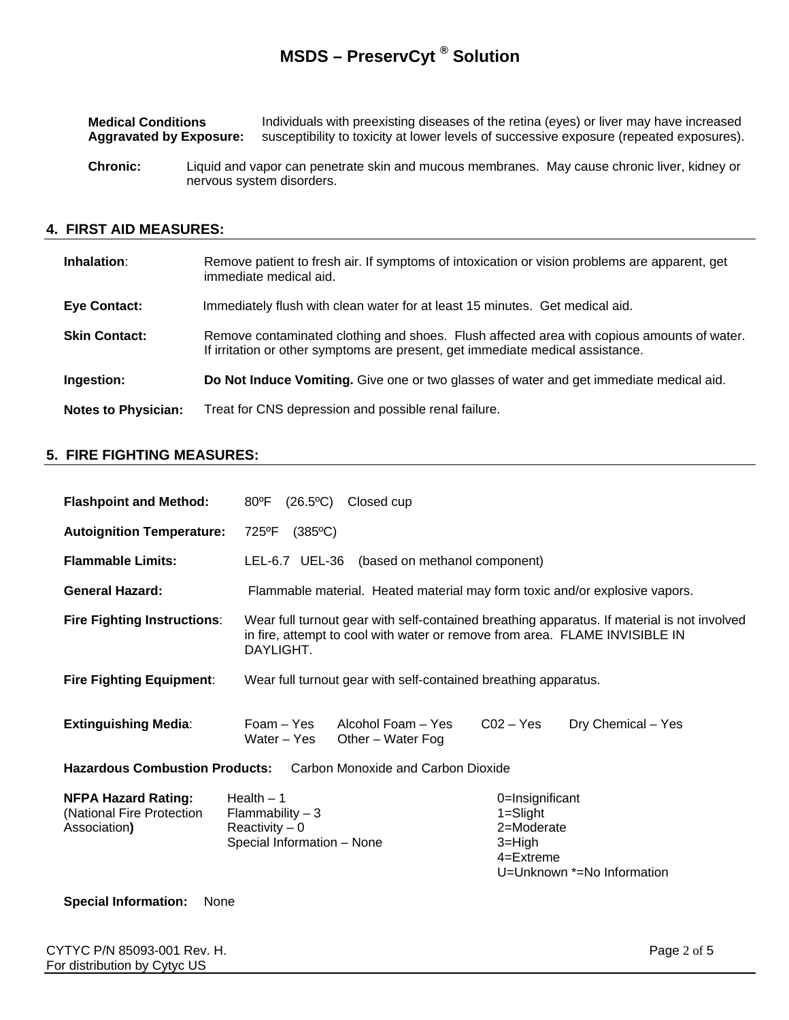| <b>Medical Conditions</b>      | Individuals with preexisting diseases of the retina (eyes) or liver may have increased  |
|--------------------------------|-----------------------------------------------------------------------------------------|
| <b>Aggravated by Exposure:</b> | susceptibility to toxicity at lower levels of successive exposure (repeated exposures). |

**Chronic:** Liquid and vapor can penetrate skin and mucous membranes. May cause chronic liver, kidney or nervous system disorders.

#### **4. FIRST AID MEASURES:**

| Inhalation:                | Remove patient to fresh air. If symptoms of intoxication or vision problems are apparent, get<br>immediate medical aid.                                                      |
|----------------------------|------------------------------------------------------------------------------------------------------------------------------------------------------------------------------|
| Eye Contact:               | Immediately flush with clean water for at least 15 minutes. Get medical aid.                                                                                                 |
| <b>Skin Contact:</b>       | Remove contaminated clothing and shoes. Flush affected area with copious amounts of water.<br>If irritation or other symptoms are present, get immediate medical assistance. |
| Ingestion:                 | Do Not Induce Vomiting. Give one or two glasses of water and get immediate medical aid.                                                                                      |
| <b>Notes to Physician:</b> | Treat for CNS depression and possible renal failure.                                                                                                                         |

#### **5. FIRE FIGHTING MEASURES:**

| <b>Flashpoint and Method:</b>                                               | Closed cup<br>80°F<br>(26.5°C)                                                           |                                                                                                            |
|-----------------------------------------------------------------------------|------------------------------------------------------------------------------------------|------------------------------------------------------------------------------------------------------------|
| <b>Autoignition Temperature:</b>                                            | 725°F<br>$(385^{\circ}C)$                                                                |                                                                                                            |
| <b>Flammable Limits:</b>                                                    | LEL-6.7 UEL-36 (based on methanol component)                                             |                                                                                                            |
| <b>General Hazard:</b>                                                      | Flammable material. Heated material may form toxic and/or explosive vapors.              |                                                                                                            |
| <b>Fire Fighting Instructions:</b>                                          | in fire, attempt to cool with water or remove from area. FLAME INVISIBLE IN<br>DAYLIGHT. | Wear full turnout gear with self-contained breathing apparatus. If material is not involved                |
| <b>Fire Fighting Equipment:</b>                                             | Wear full turnout gear with self-contained breathing apparatus.                          |                                                                                                            |
| <b>Extinguishing Media:</b>                                                 | Foam – Yes<br>Alcohol Foam – Yes<br>Water - Yes<br>Other - Water Fog                     | $CO2 - Yes$<br>Dry Chemical - Yes                                                                          |
| Carbon Monoxide and Carbon Dioxide<br><b>Hazardous Combustion Products:</b> |                                                                                          |                                                                                                            |
| <b>NFPA Hazard Rating:</b><br>(National Fire Protection<br>Association)     | Health $-1$<br>Flammability $-3$<br>Reactivity $-0$<br>Special Information - None        | 0=Insignificant<br>$1 =$ Slight<br>2=Moderate<br>$3 = High$<br>$4 =$ Extreme<br>U=Unknown *=No Information |

#### **Special Information:** None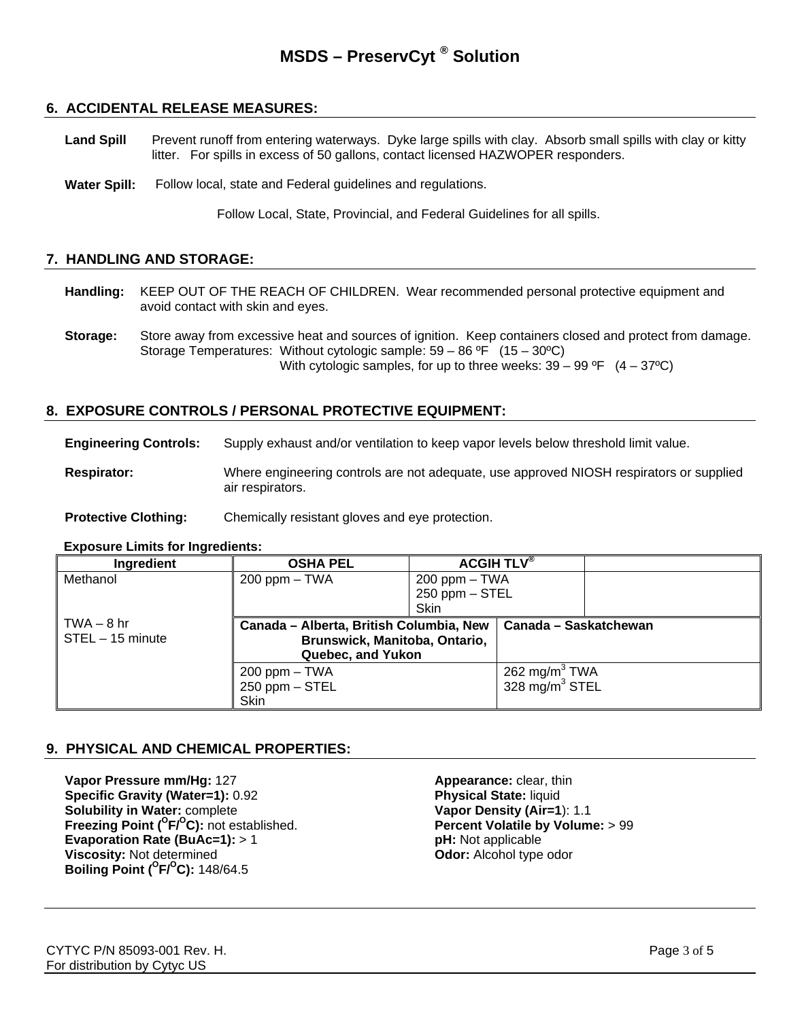#### **6. ACCIDENTAL RELEASE MEASURES:**

Land Spill Prevent runoff from entering waterways. Dyke large spills with clay. Absorb small spills with clay or kitty litter. For spills in excess of 50 gallons, contact licensed HAZWOPER responders.

**Water Spill:** Follow local, state and Federal guidelines and regulations.

Follow Local, State, Provincial, and Federal Guidelines for all spills.

#### **7. HANDLING AND STORAGE:**

- **Handling:** KEEP OUT OF THE REACH OF CHILDREN. Wear recommended personal protective equipment and avoid contact with skin and eyes.
- **Storage:** Store away from excessive heat and sources of ignition. Keep containers closed and protect from damage. Storage Temperatures: Without cytologic sample: 59 – 86 ºF (15 – 30ºC) With cytologic samples, for up to three weeks:  $39 - 99$  °F  $(4 - 37$ °C)

#### **8. EXPOSURE CONTROLS / PERSONAL PROTECTIVE EQUIPMENT:**

**Engineering Controls:** Supply exhaust and/or ventilation to keep vapor levels below threshold limit value.

**Respirator:** Where engineering controls are not adequate, use approved NIOSH respirators or supplied air respirators.

**Protective Clothing:** Chemically resistant gloves and eye protection.

#### **Exposure Limits for Ingredients:**

| Ingredient           | <b>OSHA PEL</b>                         |                    | ACGIH TLV <sup>®</sup> |  |
|----------------------|-----------------------------------------|--------------------|------------------------|--|
| Methanol             | $200$ ppm $-$ TWA                       | $200$ ppm $-$ TWA  |                        |  |
|                      |                                         | $250$ ppm $-$ STEL |                        |  |
|                      |                                         | Skin               |                        |  |
| $\vert$ TWA $-$ 8 hr | Canada - Alberta, British Columbia, New |                    | Canada - Saskatchewan  |  |
| STEL - 15 minute     | Brunswick, Manitoba, Ontario,           |                    |                        |  |
|                      | Quebec, and Yukon                       |                    |                        |  |
|                      | $200$ ppm $-$ TWA                       |                    | 262 mg/m $3$ TWA       |  |
|                      | $250$ ppm $-$ STEL                      |                    | 328 mg/m $3$ STEL      |  |
|                      | Skin                                    |                    |                        |  |

#### **9. PHYSICAL AND CHEMICAL PROPERTIES:**

**Vapor Pressure mm/Hg:** 127 **Appearance:** clear, thin **Specific Gravity (Water=1):** 0.92 **Physical State:** liquid **Solubility in Water: complete Vapor Density (Air=1): 1.1 Freezing Point (<sup>O</sup>F/<sup>O</sup>C):** not established. **Percent Volatile by Volume:** > 99 **Evaporation Rate (BuAc=1):** > 1 **pH:** Not applicable **Viscosity:** Not determined **Odor:** Alcohol type odor **Boiling Point (°F/°C): 148/64.5**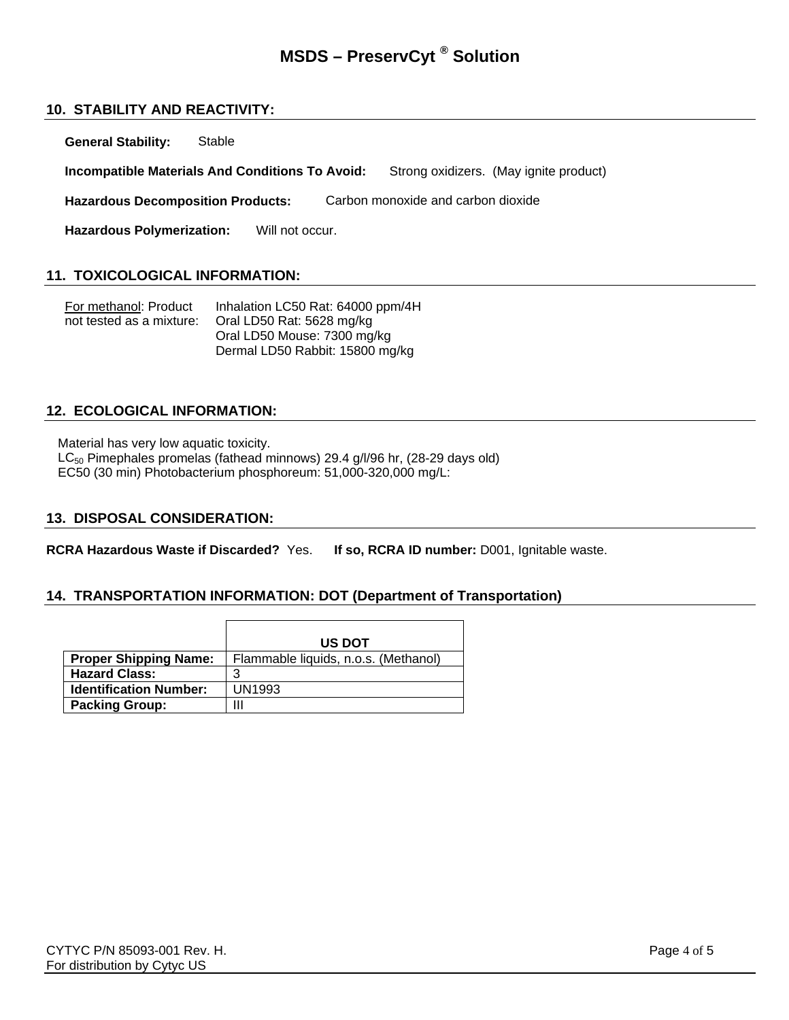#### **10. STABILITY AND REACTIVITY:**

**General Stability:** Stable

**Incompatible Materials And Conditions To Avoid:** Strong oxidizers. (May ignite product)

**Hazardous Decomposition Products:** Carbon monoxide and carbon dioxide

Hazardous Polymerization: Will not occur.

#### **11. TOXICOLOGICAL INFORMATION:**

| For methanol: Product    | Inhalation LC50 Rat: 64000 ppm/4H |
|--------------------------|-----------------------------------|
| not tested as a mixture: | Oral LD50 Rat: 5628 mg/kg         |
|                          | Oral LD50 Mouse: 7300 mg/kg       |
|                          | Dermal LD50 Rabbit: 15800 mg/kg   |

#### **12. ECOLOGICAL INFORMATION:**

Material has very low aquatic toxicity.

LC<sub>50</sub> Pimephales promelas (fathead minnows) 29.4 g/l/96 hr, (28-29 days old) EC50 (30 min) Photobacterium phosphoreum: 51,000-320,000 mg/L:

#### **13. DISPOSAL CONSIDERATION:**

**RCRA Hazardous Waste if Discarded?** Yes. **If so, RCRA ID number:** D001, Ignitable waste.

#### **14. TRANSPORTATION INFORMATION: DOT (Department of Transportation)**

|                               | <b>US DOT</b>                        |
|-------------------------------|--------------------------------------|
| <b>Proper Shipping Name:</b>  | Flammable liquids, n.o.s. (Methanol) |
| <b>Hazard Class:</b>          |                                      |
| <b>Identification Number:</b> | <b>UN1993</b>                        |
| <b>Packing Group:</b>         | Ш                                    |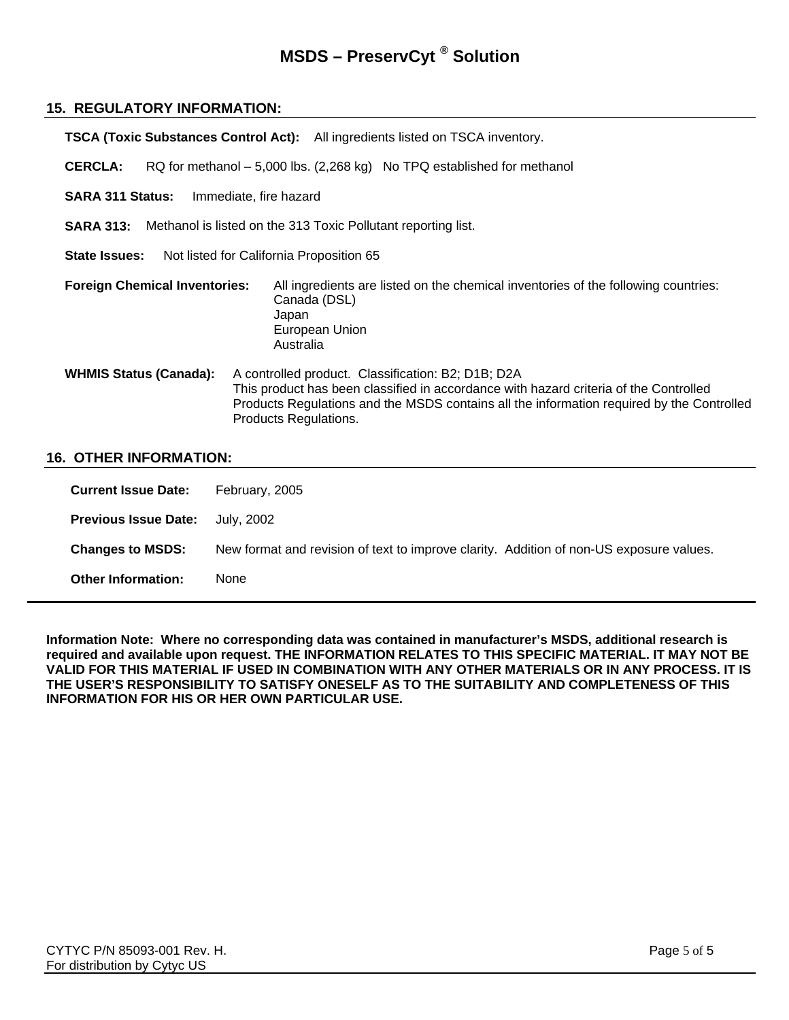#### **15. REGULATORY INFORMATION:**

|                                      | <b>TSCA (Toxic Substances Control Act):</b> All ingredients listed on TSCA inventory.                                                                                                                                                                             |
|--------------------------------------|-------------------------------------------------------------------------------------------------------------------------------------------------------------------------------------------------------------------------------------------------------------------|
| <b>CERCLA:</b>                       | RQ for methanol – 5,000 lbs. (2,268 kg) No TPQ established for methanol                                                                                                                                                                                           |
| <b>SARA 311 Status:</b>              | Immediate, fire hazard                                                                                                                                                                                                                                            |
|                                      | <b>SARA 313:</b> Methanol is listed on the 313 Toxic Pollutant reporting list.                                                                                                                                                                                    |
| <b>State Issues:</b>                 | Not listed for California Proposition 65                                                                                                                                                                                                                          |
| <b>Foreign Chemical Inventories:</b> | All ingredients are listed on the chemical inventories of the following countries:<br>Canada (DSL)<br>Japan<br>European Union<br>Australia                                                                                                                        |
| <b>WHMIS Status (Canada):</b>        | A controlled product. Classification: B2; D1B; D2A<br>This product has been classified in accordance with hazard criteria of the Controlled<br>Products Regulations and the MSDS contains all the information required by the Controlled<br>Products Regulations. |

#### **16. OTHER INFORMATION:**

| <b>Current Issue Date:</b>  | February, 2005                                                                          |
|-----------------------------|-----------------------------------------------------------------------------------------|
| <b>Previous Issue Date:</b> | July, 2002                                                                              |
| <b>Changes to MSDS:</b>     | New format and revision of text to improve clarity. Addition of non-US exposure values. |
| <b>Other Information:</b>   | None                                                                                    |

**Information Note: Where no corresponding data was contained in manufacturer's MSDS, additional research is required and available upon request. THE INFORMATION RELATES TO THIS SPECIFIC MATERIAL. IT MAY NOT BE VALID FOR THIS MATERIAL IF USED IN COMBINATION WITH ANY OTHER MATERIALS OR IN ANY PROCESS. IT IS THE USER'S RESPONSIBILITY TO SATISFY ONESELF AS TO THE SUITABILITY AND COMPLETENESS OF THIS INFORMATION FOR HIS OR HER OWN PARTICULAR USE.**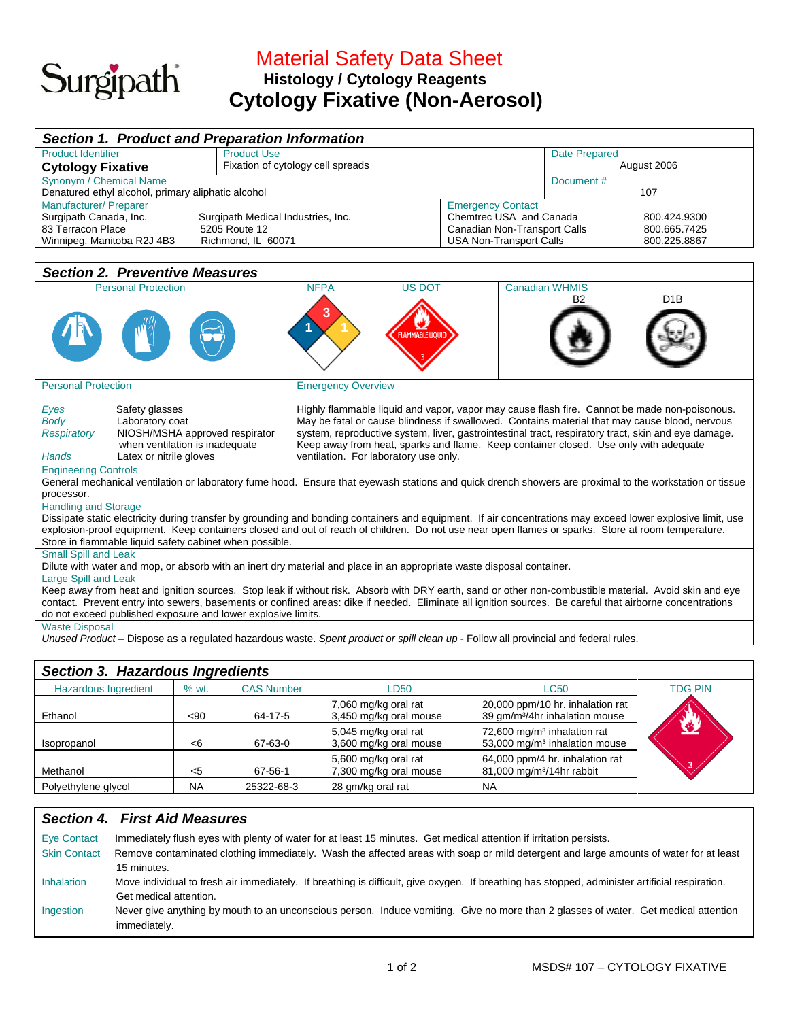# Surgipath

## Material Safety Data Sheet  **Histology / Cytology Reagents Cytology Fixative (Non-Aerosol)**

| <b>Section 1. Product and Preparation Information</b>                                                                                                             |                                                                                                                                                                                               |                                |                       |                  |  |  |  |
|-------------------------------------------------------------------------------------------------------------------------------------------------------------------|-----------------------------------------------------------------------------------------------------------------------------------------------------------------------------------------------|--------------------------------|-----------------------|------------------|--|--|--|
| <b>Product Identifier</b>                                                                                                                                         | <b>Product Use</b>                                                                                                                                                                            |                                | <b>Date Prepared</b>  |                  |  |  |  |
| <b>Cytology Fixative</b>                                                                                                                                          | Fixation of cytology cell spreads                                                                                                                                                             |                                | August 2006           |                  |  |  |  |
| Synonym / Chemical Name                                                                                                                                           |                                                                                                                                                                                               |                                | Document #            |                  |  |  |  |
| Denatured ethyl alcohol, primary aliphatic alcohol                                                                                                                |                                                                                                                                                                                               |                                |                       | 107              |  |  |  |
| Manufacturer/ Preparer                                                                                                                                            |                                                                                                                                                                                               | <b>Emergency Contact</b>       |                       |                  |  |  |  |
| Surgipath Canada, Inc.                                                                                                                                            | Surgipath Medical Industries, Inc.                                                                                                                                                            | Chemtrec USA and Canada        |                       | 800.424.9300     |  |  |  |
| 83 Terracon Place                                                                                                                                                 | 5205 Route 12                                                                                                                                                                                 | Canadian Non-Transport Calls   |                       | 800.665.7425     |  |  |  |
| Winnipeg, Manitoba R2J 4B3                                                                                                                                        | Richmond, IL 60071                                                                                                                                                                            | <b>USA Non-Transport Calls</b> |                       | 800.225.8867     |  |  |  |
|                                                                                                                                                                   |                                                                                                                                                                                               |                                |                       |                  |  |  |  |
| <b>Section 2. Preventive Measures</b>                                                                                                                             |                                                                                                                                                                                               |                                |                       |                  |  |  |  |
| <b>Personal Protection</b>                                                                                                                                        | <b>NFPA</b><br><b>US DOT</b>                                                                                                                                                                  |                                | <b>Canadian WHMIS</b> |                  |  |  |  |
|                                                                                                                                                                   |                                                                                                                                                                                               |                                | <b>B2</b>             | D <sub>1</sub> B |  |  |  |
|                                                                                                                                                                   |                                                                                                                                                                                               |                                |                       |                  |  |  |  |
|                                                                                                                                                                   |                                                                                                                                                                                               |                                |                       |                  |  |  |  |
|                                                                                                                                                                   | LAMMABLE LIQUID                                                                                                                                                                               |                                |                       |                  |  |  |  |
|                                                                                                                                                                   |                                                                                                                                                                                               |                                |                       |                  |  |  |  |
|                                                                                                                                                                   |                                                                                                                                                                                               |                                |                       |                  |  |  |  |
|                                                                                                                                                                   |                                                                                                                                                                                               |                                |                       |                  |  |  |  |
| <b>Personal Protection</b>                                                                                                                                        | <b>Emergency Overview</b>                                                                                                                                                                     |                                |                       |                  |  |  |  |
| Safety glasses                                                                                                                                                    |                                                                                                                                                                                               |                                |                       |                  |  |  |  |
| Eyes<br>Laboratory coat<br><b>Body</b>                                                                                                                            | Highly flammable liquid and vapor, vapor may cause flash fire. Cannot be made non-poisonous.<br>May be fatal or cause blindness if swallowed. Contains material that may cause blood, nervous |                                |                       |                  |  |  |  |
| NIOSH/MSHA approved respirator<br><b>Respiratory</b>                                                                                                              | system, reproductive system, liver, gastrointestinal tract, respiratory tract, skin and eye damage.                                                                                           |                                |                       |                  |  |  |  |
| when ventilation is inadequate                                                                                                                                    |                                                                                                                                                                                               |                                |                       |                  |  |  |  |
| Keep away from heat, sparks and flame. Keep container closed. Use only with adequate<br>Latex or nitrile gloves<br>ventilation. For laboratory use only.<br>Hands |                                                                                                                                                                                               |                                |                       |                  |  |  |  |
| <b>Engineering Controls</b>                                                                                                                                       |                                                                                                                                                                                               |                                |                       |                  |  |  |  |
|                                                                                                                                                                   | General mechanical ventilation or laboratory fume hood. Ensure that eyewash stations and quick drench showers are proximal to the workstation or tissue                                       |                                |                       |                  |  |  |  |
| processor.                                                                                                                                                        |                                                                                                                                                                                               |                                |                       |                  |  |  |  |
| <b>Handling and Storage</b>                                                                                                                                       |                                                                                                                                                                                               |                                |                       |                  |  |  |  |
|                                                                                                                                                                   | Dissipate static electricity during transfer by grounding and bonding containers and equipment. If air concentrations may exceed lower explosive limit, use                                   |                                |                       |                  |  |  |  |
|                                                                                                                                                                   | explosion-proof equipment. Keep containers closed and out of reach of children. Do not use near open flames or sparks. Store at room temperature.                                             |                                |                       |                  |  |  |  |
| Store in flammable liquid safety cabinet when possible.                                                                                                           |                                                                                                                                                                                               |                                |                       |                  |  |  |  |
| <b>Small Spill and Leak</b>                                                                                                                                       |                                                                                                                                                                                               |                                |                       |                  |  |  |  |
| Dilute with water and mop, or absorb with an inert dry material and place in an appropriate waste disposal container.                                             |                                                                                                                                                                                               |                                |                       |                  |  |  |  |
| Large Spill and Leak                                                                                                                                              |                                                                                                                                                                                               |                                |                       |                  |  |  |  |
| Keep away from heat and ignition sources. Stop leak if without risk. Absorb with DRY earth, sand or other non-combustible material. Avoid skin and eye            |                                                                                                                                                                                               |                                |                       |                  |  |  |  |
| contact. Prevent entry into sewers, basements or confined areas: dike if needed. Eliminate all ignition sources. Be careful that airborne concentrations          |                                                                                                                                                                                               |                                |                       |                  |  |  |  |
| do not exceed published exposure and lower explosive limits.                                                                                                      |                                                                                                                                                                                               |                                |                       |                  |  |  |  |
| <b>Waste Disposal</b>                                                                                                                                             |                                                                                                                                                                                               |                                |                       |                  |  |  |  |
|                                                                                                                                                                   | Unused Product - Dispose as a regulated hazardous waste. Spent product or spill clean up - Follow all provincial and federal rules.                                                           |                                |                       |                  |  |  |  |
|                                                                                                                                                                   |                                                                                                                                                                                               |                                |                       |                  |  |  |  |
| Contion 2 Hozardous Ingradiants                                                                                                                                   |                                                                                                                                                                                               |                                |                       |                  |  |  |  |

| Section 3. Hazardous Ingredients |           |                   |                                                |                                                                                      |                |  |  |
|----------------------------------|-----------|-------------------|------------------------------------------------|--------------------------------------------------------------------------------------|----------------|--|--|
| <b>Hazardous Ingredient</b>      | % wt.     | <b>CAS Number</b> | <b>LD50</b>                                    | <b>LC50</b>                                                                          | <b>TDG PIN</b> |  |  |
| Ethanol                          | $90$      | 64-17-5           | 7,060 mg/kg oral rat<br>3,450 mg/kg oral mouse | 20,000 ppm/10 hr. inhalation rat<br>39 gm/m <sup>3</sup> /4hr inhalation mouse       |                |  |  |
| Isopropanol                      | < 6       | 67-63-0           | 5,045 mg/kg oral rat<br>3,600 mg/kg oral mouse | 72,600 mg/m <sup>3</sup> inhalation rat<br>53,000 mg/m <sup>3</sup> inhalation mouse | 坐              |  |  |
| Methanol                         | $<$ 5     | 67-56-1           | 5,600 mg/kg oral rat<br>7,300 mg/kg oral mouse | 64,000 ppm/4 hr. inhalation rat<br>81,000 mg/m <sup>3</sup> /14hr rabbit             |                |  |  |
| Polyethylene glycol              | <b>NA</b> | 25322-68-3        | 28 gm/kg oral rat                              | <b>NA</b>                                                                            |                |  |  |

#### *Section 4. First Aid Measures*

| <b>Eye Contact</b>  | Immediately flush eyes with plenty of water for at least 15 minutes. Get medical attention if irritation persists.                             |  |  |  |  |
|---------------------|------------------------------------------------------------------------------------------------------------------------------------------------|--|--|--|--|
| <b>Skin Contact</b> | Remove contaminated clothing immediately. Wash the affected areas with soap or mild detergent and large amounts of water for at least          |  |  |  |  |
|                     | 15 minutes.                                                                                                                                    |  |  |  |  |
| Inhalation          | Move individual to fresh air immediately. If breathing is difficult, give oxygen. If breathing has stopped, administer artificial respiration. |  |  |  |  |
|                     | Get medical attention.                                                                                                                         |  |  |  |  |
| Ingestion           | Never give anything by mouth to an unconscious person. Induce vomiting. Give no more than 2 glasses of water. Get medical attention            |  |  |  |  |
|                     | immediately.                                                                                                                                   |  |  |  |  |